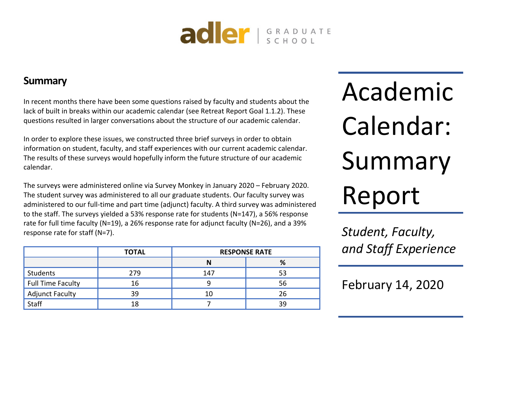

# **Summary**

In recent months there have been some questions raised by faculty and students about the lack of built in breaks within our academic calendar (see Retreat Report Goal 1.1.2). These questions resulted in larger conversations about the structure of our academic calendar.

In order to explore these issues, we constructed three brief surveys in order to obtain information on student, faculty, and staff experiences with our current academic calendar. The results of these surveys would hopefully inform the future structure of our academic calendar.

The surveys were administered online via Survey Monkey in January 2020 – February 2020. The student survey was administered to all our graduate students. Our faculty survey was administered to our full-time and part time (adjunct) faculty. A third survey was administered to the staff. The surveys yielded a 53% response rate for students (N=147), a 56% response rate for full time faculty (N=19), a 26% response rate for adjunct faculty (N=26), and a 39% response rate for staff (N=7).

|                          | <b>TOTAL</b> | <b>RESPONSE RATE</b> |    |  |  |
|--------------------------|--------------|----------------------|----|--|--|
|                          |              | N                    | %  |  |  |
| Students                 | 279          | 147                  | 53 |  |  |
| <b>Full Time Faculty</b> | 16           |                      | 56 |  |  |
| <b>Adjunct Faculty</b>   | 39           | 10                   | 26 |  |  |
| Staff                    | 18           |                      | 39 |  |  |

Academic Calendar: Summary Report

*Student, Faculty, and Staff Experience* 

February 14, 2020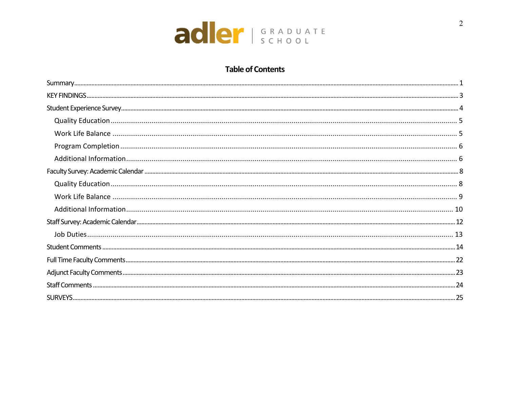

### **Table of Contents**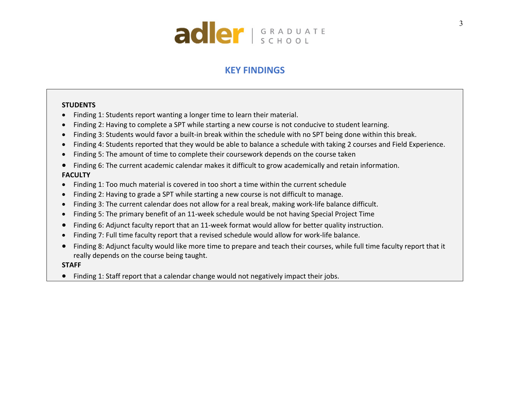

# **KEY FINDINGS**

#### **STUDENTS**

- Finding 1: Students report wanting a longer time to learn their material.
- Finding 2: Having to complete a SPT while starting a new course is not conducive to student learning.
- Finding 3: Students would favor a built-in break within the schedule with no SPT being done within this break.
- Finding 4: Students reported that they would be able to balance a schedule with taking 2 courses and Field Experience.
- Finding 5: The amount of time to complete their coursework depends on the course taken
- Finding 6: The current academic calendar makes it difficult to grow academically and retain information. **FACULTY**
- Finding 1: Too much material is covered in too short a time within the current schedule
- Finding 2: Having to grade a SPT while starting a new course is not difficult to manage.
- Finding 3: The current calendar does not allow for a real break, making work-life balance difficult.
- Finding 5: The primary benefit of an 11-week schedule would be not having Special Project Time
- Finding 6: Adjunct faculty report that an 11-week format would allow for better quality instruction.
- Finding 7: Full time faculty report that a revised schedule would allow for work-life balance.
- Finding 8: Adjunct faculty would like more time to prepare and teach their courses, while full time faculty report that it really depends on the course being taught.

**STAFF**

• Finding 1: Staff report that a calendar change would not negatively impact their jobs.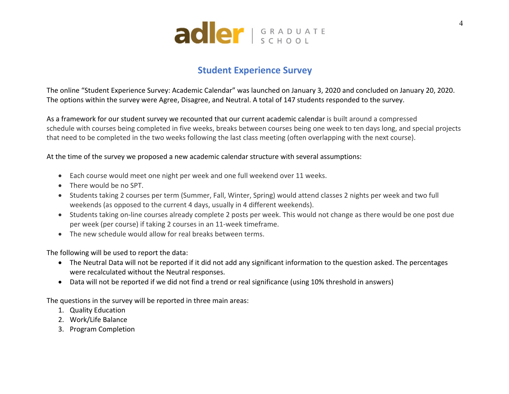

### **Student Experience Survey**

The online "Student Experience Survey: Academic Calendar" was launched on January 3, 2020 and concluded on January 20, 2020. The options within the survey were Agree, Disagree, and Neutral. A total of 147 students responded to the survey.

As a framework for our student survey we recounted that our current academic calendar is built around a compressed schedule with courses being completed in five weeks, breaks between courses being one week to ten days long, and special projects that need to be completed in the two weeks following the last class meeting (often overlapping with the next course).

At the time of the survey we proposed a new academic calendar structure with several assumptions:

- Each course would meet one night per week and one full weekend over 11 weeks.
- There would be no SPT.
- Students taking 2 courses per term (Summer, Fall, Winter, Spring) would attend classes 2 nights per week and two full weekends (as opposed to the current 4 days, usually in 4 different weekends).
- Students taking on-line courses already complete 2 posts per week. This would not change as there would be one post due per week (per course) if taking 2 courses in an 11-week timeframe.
- The new schedule would allow for real breaks between terms.

The following will be used to report the data:

- The Neutral Data will not be reported if it did not add any significant information to the question asked. The percentages were recalculated without the Neutral responses.
- Data will not be reported if we did not find a trend or real significance (using 10% threshold in answers)

The questions in the survey will be reported in three main areas:

- 1. Quality Education
- 2. Work/Life Balance
- 3. Program Completion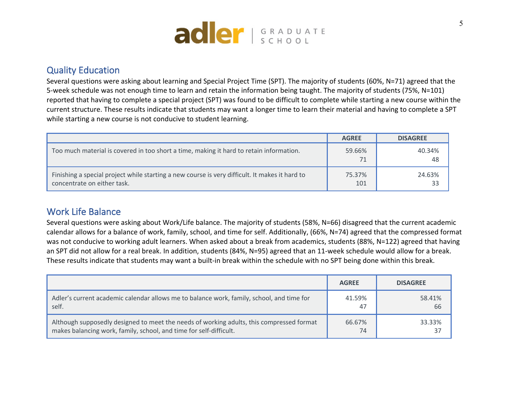

### Quality Education

Several questions were asking about learning and Special Project Time (SPT). The majority of students (60%, N=71) agreed that the 5-week schedule was not enough time to learn and retain the information being taught. The majority of students (75%, N=101) reported that having to complete a special project (SPT) was found to be difficult to complete while starting a new course within the current structure. These results indicate that students may want a longer time to learn their material and having to complete a SPT while starting a new course is not conducive to student learning.

|                                                                                                                               | <b>AGREE</b>  | <b>DISAGREE</b> |
|-------------------------------------------------------------------------------------------------------------------------------|---------------|-----------------|
| Too much material is covered in too short a time, making it hard to retain information.                                       | 59.66%<br>71  | 40.34%<br>48    |
| Finishing a special project while starting a new course is very difficult. It makes it hard to<br>concentrate on either task. | 75.37%<br>101 | 24.63%<br>33    |

### Work Life Balance

Several questions were asking about Work/Life balance. The majority of students (58%, N=66) disagreed that the current academic calendar allows for a balance of work, family, school, and time for self. Additionally, (66%, N=74) agreed that the compressed format was not conducive to working adult learners. When asked about a break from academics, students (88%, N=122) agreed that having an SPT did not allow for a real break. In addition, students (84%, N=95) agreed that an 11-week schedule would allow for a break. These results indicate that students may want a built-in break within the schedule with no SPT being done within this break.

|                                                                                           | <b>AGREE</b> | <b>DISAGREE</b> |
|-------------------------------------------------------------------------------------------|--------------|-----------------|
| Adler's current academic calendar allows me to balance work, family, school, and time for | 41.59%       | 58.41%          |
| self.                                                                                     | 47           | 66              |
| Although supposedly designed to meet the needs of working adults, this compressed format  | 66.67%       | 33.33%          |
| makes balancing work, family, school, and time for self-difficult.                        | 74           | 37              |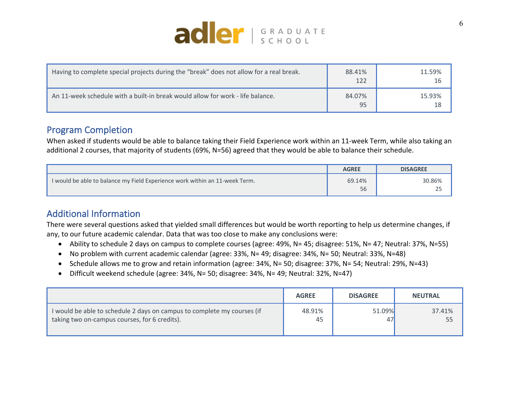

| Having to complete special projects during the "break" does not allow for a real break. | 88.41%<br>122 | 11.59%<br>16 |
|-----------------------------------------------------------------------------------------|---------------|--------------|
| An 11-week schedule with a built-in break would allow for work - life balance.          | 84.07%<br>95  | 15.93%<br>18 |

### Program Completion

When asked if students would be able to balance taking their Field Experience work within an 11-week Term, while also taking an additional 2 courses, that majority of students (69%, N=56) agreed that they would be able to balance their schedule.

|                                                                             | <b>AGREE</b> | <b>DISAGREE</b>      |
|-----------------------------------------------------------------------------|--------------|----------------------|
| I would be able to balance my Field Experience work within an 11-week Term. | 69.14%<br>56 | 30.86%<br>$\sim$ $-$ |

# Additional Information

There were several questions asked that yielded small differences but would be worth reporting to help us determine changes, if any, to our future academic calendar. Data that was too close to make any conclusions were:

- Ability to schedule 2 days on campus to complete courses (agree: 49%, N= 45; disagree: 51%, N= 47; Neutral: 37%, N=55)
- No problem with current academic calendar (agree: 33%, N= 49; disagree: 34%, N= 50; Neutral: 33%, N=48)
- Schedule allows me to grow and retain information (agree: 34%, N= 50; disagree: 37%, N= 54; Neutral: 29%, N=43)
- Difficult weekend schedule (agree: 34%, N= 50; disagree: 34%, N= 49; Neutral: 32%, N=47)

|                                                                         | <b>AGREE</b> | <b>DISAGREE</b> | <b>NEUTRAL</b> |
|-------------------------------------------------------------------------|--------------|-----------------|----------------|
| I would be able to schedule 2 days on campus to complete my courses (if | 48.91%       | 51.09%          | 37.41%         |
| taking two on-campus courses, for 6 credits).                           | 45           | 47              | 55             |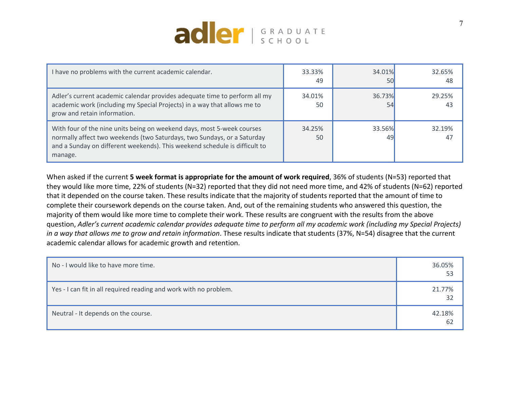

| I have no problems with the current academic calendar.                                                                                                                                                                                     | 33.33%<br>49 | 34.01%<br>50 | 32.65%<br>48 |
|--------------------------------------------------------------------------------------------------------------------------------------------------------------------------------------------------------------------------------------------|--------------|--------------|--------------|
| Adler's current academic calendar provides adequate time to perform all my<br>academic work (including my Special Projects) in a way that allows me to<br>grow and retain information.                                                     | 34.01%<br>50 | 36.73%<br>54 | 29.25%<br>43 |
| With four of the nine units being on weekend days, most 5-week courses<br>normally affect two weekends (two Saturdays, two Sundays, or a Saturday<br>and a Sunday on different weekends). This weekend schedule is difficult to<br>manage. | 34.25%<br>50 | 33.56%<br>49 | 32.19%<br>47 |

When asked if the current **5 week format is appropriate for the amount of work required**, 36% of students (N=53) reported that they would like more time, 22% of students (N=32) reported that they did not need more time, and 42% of students (N=62) reported that it depended on the course taken. These results indicate that the majority of students reported that the amount of time to complete their coursework depends on the course taken. And, out of the remaining students who answered this question, the majority of them would like more time to complete their work. These results are congruent with the results from the above question, *Adler's current academic calendar provides adequate time to perform all my academic work (including my Special Projects) in a way that allows me to grow and retain information*. These results indicate that students (37%, N=54) disagree that the current academic calendar allows for academic growth and retention.

| No - I would like to have more time.                              | 36.05%<br>53 |
|-------------------------------------------------------------------|--------------|
| Yes - I can fit in all required reading and work with no problem. | 21.77%<br>32 |
| Neutral - It depends on the course.                               | 42.18%<br>62 |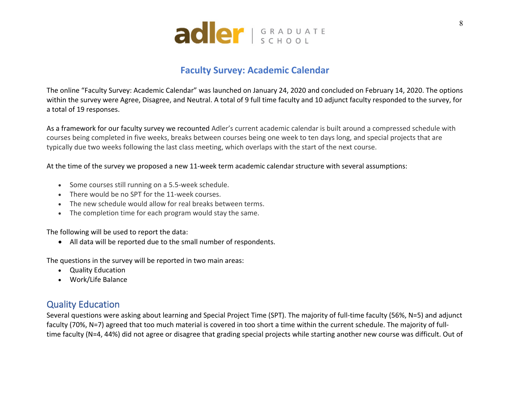

### **Faculty Survey: Academic Calendar**

The online "Faculty Survey: Academic Calendar" was launched on January 24, 2020 and concluded on February 14, 2020. The options within the survey were Agree, Disagree, and Neutral. A total of 9 full time faculty and 10 adjunct faculty responded to the survey, for a total of 19 responses.

As a framework for our faculty survey we recounted Adler's current academic calendar is built around a compressed schedule with courses being completed in five weeks, breaks between courses being one week to ten days long, and special projects that are typically due two weeks following the last class meeting, which overlaps with the start of the next course.

At the time of the survey we proposed a new 11-week term academic calendar structure with several assumptions:

- Some courses still running on a 5.5-week schedule.
- There would be no SPT for the 11-week courses.
- The new schedule would allow for real breaks between terms.
- The completion time for each program would stay the same.

The following will be used to report the data:

• All data will be reported due to the small number of respondents.

The questions in the survey will be reported in two main areas:

- Quality Education
- Work/Life Balance

# Quality Education

Several questions were asking about learning and Special Project Time (SPT). The majority of full-time faculty (56%, N=5) and adjunct faculty (70%, N=7) agreed that too much material is covered in too short a time within the current schedule. The majority of fulltime faculty (N=4, 44%) did not agree or disagree that grading special projects while starting another new course was difficult. Out of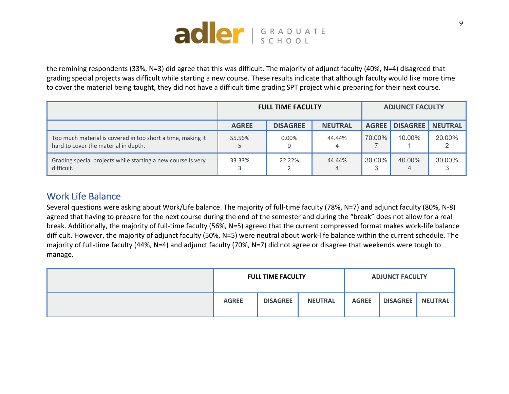

the remining respondents (33%, N=3) did agree that this was difficult. The majority of adjunct faculty (40%, N=4) disagreed that grading special projects was difficult while starting a new course. These results indicate that although faculty would like more time to cover the material being taught, they did not have a difficult time grading SPT project while preparing for their next course.

|                                                                                                     | <b>FULL TIME FACULTY</b> |                 |                | <b>ADJUNCT FACULTY</b> |                 |                |
|-----------------------------------------------------------------------------------------------------|--------------------------|-----------------|----------------|------------------------|-----------------|----------------|
|                                                                                                     | <b>AGREE</b>             | <b>DISAGREE</b> | <b>NEUTRAL</b> | <b>AGREE</b>           | <b>DISAGREE</b> | <b>NEUTRAL</b> |
| Too much material is covered in too short a time, making it<br>hard to cover the material in depth. | 55.56%                   | $0.00\%$        | 44.44%<br>4    | 70.00%                 | 10.00%          | 20.00%         |
| Grading special projects while starting a new course is very<br>difficult.                          | 33.33%                   | 22.22%          | 44.44%<br>4    | 30.00%                 | 40.00%          | 30.00%         |

#### Work Life Balance

Several questions were asking about Work/Life balance. The majority of full-time faculty (78%, N=7) and adjunct faculty (80%, N-8) agreed that having to prepare for the next course during the end of the semester and during the "break" does not allow for a real break. Additionally, the majority of full-time faculty (56%, N=5) agreed that the current compressed format makes work-life balance difficult. However, the majority of adjunct faculty (50%, N=5) were neutral about work-life balance within the current schedule. The majority of full-time faculty (44%, N=4) and adjunct faculty (70%, N=7) did not agree or disagree that weekends were tough to manage.

| <b>FULL TIME FACULTY</b> |                 |                | <b>ADJUNCT FACULTY</b> |                 |                |
|--------------------------|-----------------|----------------|------------------------|-----------------|----------------|
| <b>AGREE</b>             | <b>DISAGREE</b> | <b>NEUTRAL</b> | <b>AGREE</b>           | <b>DISAGREE</b> | <b>NEUTRAL</b> |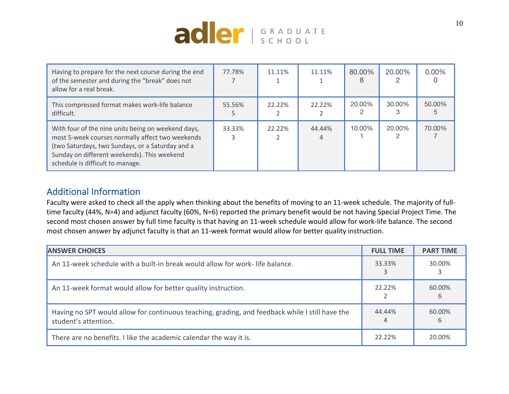

| Having to prepare for the next course during the end<br>of the semester and during the "break" does not<br>allow for a real break.                                                                                                            | 77.78% | 11.11% | 11.11% | 80.00% | 20.00% | $0.00\%$ |
|-----------------------------------------------------------------------------------------------------------------------------------------------------------------------------------------------------------------------------------------------|--------|--------|--------|--------|--------|----------|
| This compressed format makes work-life balance<br>difficult.                                                                                                                                                                                  | 55.56% | 22.22% | 22.22% | 20.00% | 30.00% | 50.00%   |
| With four of the nine units being on weekend days,<br>most 5-week courses normally affect two weekends<br>(two Saturdays, two Sundays, or a Saturday and a<br>Sunday on different weekends). This weekend<br>schedule is difficult to manage. | 33.33% | 22.22% | 44.44% | 10.00% | 20.00% | 70.00%   |

### Additional Information

Faculty were asked to check all the apply when thinking about the benefits of moving to an 11-week schedule. The majority of fulltime faculty (44%, N=4) and adjunct faculty (60%, N=6) reported the primary benefit would be not having Special Project Time. The second most chosen answer by full time faculty is that having an 11-week schedule would allow for work-life balance. The second most chosen answer by adjunct faculty is that an 11-week format would allow for better quality instruction.

| <b>ANSWER CHOICES</b>                                                                                                   | <b>FULL TIME</b>         | <b>PART TIME</b> |
|-------------------------------------------------------------------------------------------------------------------------|--------------------------|------------------|
| An 11-week schedule with a built-in break would allow for work-life balance.                                            | 33.33%                   | 30.00%<br>3      |
| An 11-week format would allow for better quality instruction.                                                           | 22.22%                   | 60.00%<br>6      |
| Having no SPT would allow for continuous teaching, grading, and feedback while I still have the<br>student's attention. | 44.44%<br>$\overline{4}$ | 60.00%<br>6      |
| There are no benefits. I like the academic calendar the way it is.                                                      | 22.22%                   | 20.00%           |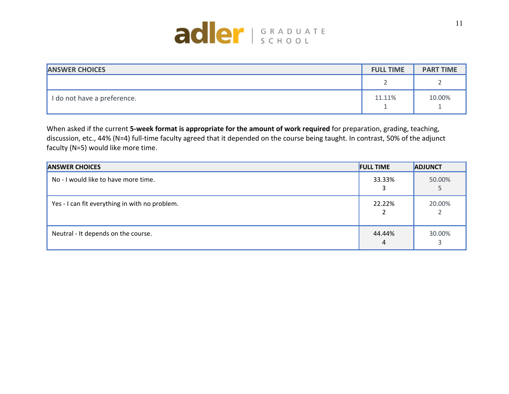

| <b>ANSWER CHOICES</b>       | <b>FULL TIME</b> | <b>PART TIME</b> |
|-----------------------------|------------------|------------------|
|                             |                  |                  |
| I do not have a preference. | 11.11%           | 10.00%           |

When asked if the current **5-week format is appropriate for the amount of work required** for preparation, grading, teaching, discussion, etc., 44% (N=4) full-time faculty agreed that it depended on the course being taught. In contrast, 50% of the adjunct faculty (N=5) would like more time.

| <b>ANSWER CHOICES</b>                          | <b>FULL TIME</b> | <b>ADJUNCT</b> |
|------------------------------------------------|------------------|----------------|
| No - I would like to have more time.           | 33.33%           | 50.00%         |
| Yes - I can fit everything in with no problem. | 22.22%           | 20.00%         |
| Neutral - It depends on the course.            | 44.44%<br>4      | 30.00%         |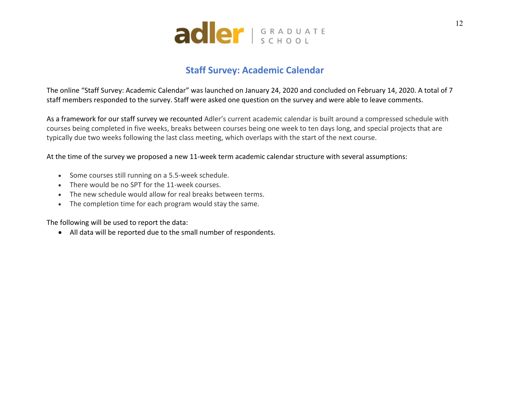

# **Staff Survey: Academic Calendar**

The online "Staff Survey: Academic Calendar" was launched on January 24, 2020 and concluded on February 14, 2020. A total of 7 staff members responded to the survey. Staff were asked one question on the survey and were able to leave comments.

As a framework for our staff survey we recounted Adler's current academic calendar is built around a compressed schedule with courses being completed in five weeks, breaks between courses being one week to ten days long, and special projects that are typically due two weeks following the last class meeting, which overlaps with the start of the next course.

At the time of the survey we proposed a new 11-week term academic calendar structure with several assumptions:

- Some courses still running on a 5.5-week schedule.
- There would be no SPT for the 11-week courses.
- The new schedule would allow for real breaks between terms.
- The completion time for each program would stay the same.

The following will be used to report the data:

• All data will be reported due to the small number of respondents.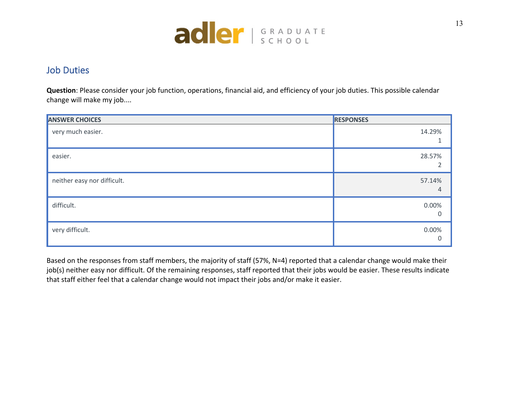

#### Job Duties

**Question**: Please consider your job function, operations, financial aid, and efficiency of your job duties. This possible calendar change will make my job....

| <b>ANSWER CHOICES</b>       | <b>RESPONSES</b>         |
|-----------------------------|--------------------------|
| very much easier.           | 14.29%                   |
| easier.                     | 28.57%                   |
| neither easy nor difficult. | 57.14%<br>$\overline{4}$ |
| difficult.                  | 0.00%<br>$\Omega$        |
| very difficult.             | 0.00%<br>$\Omega$        |

Based on the responses from staff members, the majority of staff (57%, N=4) reported that a calendar change would make their job(s) neither easy nor difficult. Of the remaining responses, staff reported that their jobs would be easier. These results indicate that staff either feel that a calendar change would not impact their jobs and/or make it easier.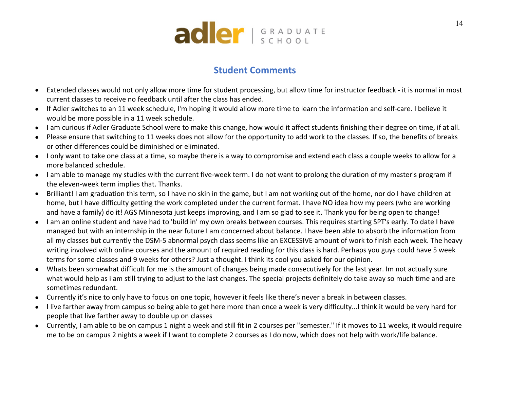

### **Student Comments**

- Extended classes would not only allow more time for student processing, but allow time for instructor feedback it is normal in most current classes to receive no feedback until after the class has ended.
- If Adler switches to an 11 week schedule, I'm hoping it would allow more time to learn the information and self-care. I believe it would be more possible in a 11 week schedule.
- I am curious if Adler Graduate School were to make this change, how would it affect students finishing their degree on time, if at all.
- Please ensure that switching to 11 weeks does not allow for the opportunity to add work to the classes. If so, the benefits of breaks or other differences could be diminished or eliminated.
- I only want to take one class at a time, so maybe there is a way to compromise and extend each class a couple weeks to allow for a more balanced schedule.
- I am able to manage my studies with the current five-week term. I do not want to prolong the duration of my master's program if the eleven-week term implies that. Thanks.
- Brilliant! I am graduation this term, so I have no skin in the game, but I am not working out of the home, nor do I have children at home, but I have difficulty getting the work completed under the current format. I have NO idea how my peers (who are working and have a family) do it! AGS Minnesota just keeps improving, and I am so glad to see it. Thank you for being open to change!
- I am an online student and have had to 'build in' my own breaks between courses. This requires starting SPT's early. To date I have managed but with an internship in the near future I am concerned about balance. I have been able to absorb the information from all my classes but currently the DSM-5 abnormal psych class seems like an EXCESSIVE amount of work to finish each week. The heavy writing involved with online courses and the amount of required reading for this class is hard. Perhaps you guys could have 5 week terms for some classes and 9 weeks for others? Just a thought. I think its cool you asked for our opinion.
- Whats been somewhat difficult for me is the amount of changes being made consecutively for the last year. Im not actually sure what would help as i am still trying to adjust to the last changes. The special projects definitely do take away so much time and are sometimes redundant.
- Currently it's nice to only have to focus on one topic, however it feels like there's never a break in between classes.
- I live farther away from campus so being able to get here more than once a week is very difficulty...I think it would be very hard for people that live farther away to double up on classes
- Currently, I am able to be on campus 1 night a week and still fit in 2 courses per "semester." If it moves to 11 weeks, it would require me to be on campus 2 nights a week if I want to complete 2 courses as I do now, which does not help with work/life balance.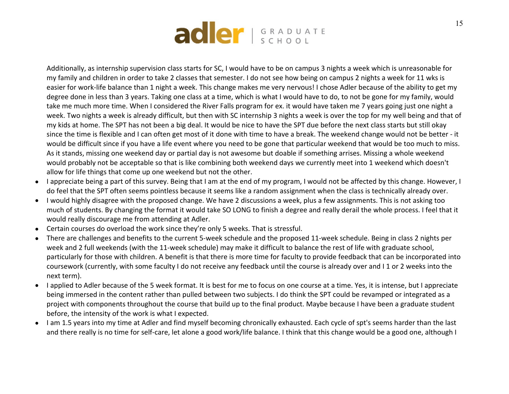

Additionally, as internship supervision class starts for SC, I would have to be on campus 3 nights a week which is unreasonable for my family and children in order to take 2 classes that semester. I do not see how being on campus 2 nights a week for 11 wks is easier for work-life balance than 1 night a week. This change makes me very nervous! I chose Adler because of the ability to get my degree done in less than 3 years. Taking one class at a time, which is what I would have to do, to not be gone for my family, would take me much more time. When I considered the River Falls program for ex. it would have taken me 7 years going just one night a week. Two nights a week is already difficult, but then with SC internship 3 nights a week is over the top for my well being and that of my kids at home. The SPT has not been a big deal. It would be nice to have the SPT due before the next class starts but still okay since the time is flexible and I can often get most of it done with time to have a break. The weekend change would not be better - it would be difficult since if you have a life event where you need to be gone that particular weekend that would be too much to miss. As it stands, missing one weekend day or partial day is not awesome but doable if something arrises. Missing a whole weekend would probably not be acceptable so that is like combining both weekend days we currently meet into 1 weekend which doesn't allow for life things that come up one weekend but not the other.

- I appreciate being a part of this survey. Being that I am at the end of my program, I would not be affected by this change. However, I do feel that the SPT often seems pointless because it seems like a random assignment when the class is technically already over.
- I would highly disagree with the proposed change. We have 2 discussions a week, plus a few assignments. This is not asking too much of students. By changing the format it would take SO LONG to finish a degree and really derail the whole process. I feel that it would really discourage me from attending at Adler.
- Certain courses do overload the work since they're only 5 weeks. That is stressful.
- There are challenges and benefits to the current 5-week schedule and the proposed 11-week schedule. Being in class 2 nights per week and 2 full weekends (with the 11-week schedule) may make it difficult to balance the rest of life with graduate school, particularly for those with children. A benefit is that there is more time for faculty to provide feedback that can be incorporated into coursework (currently, with some faculty I do not receive any feedback until the course is already over and I 1 or 2 weeks into the next term).
- I applied to Adler because of the 5 week format. It is best for me to focus on one course at a time. Yes, it is intense, but I appreciate being immersed in the content rather than pulled between two subjects. I do think the SPT could be revamped or integrated as a project with components throughout the course that build up to the final product. Maybe because I have been a graduate student before, the intensity of the work is what I expected.
- I am 1.5 years into my time at Adler and find myself becoming chronically exhausted. Each cycle of spt's seems harder than the last and there really is no time for self-care, let alone a good work/life balance. I think that this change would be a good one, although I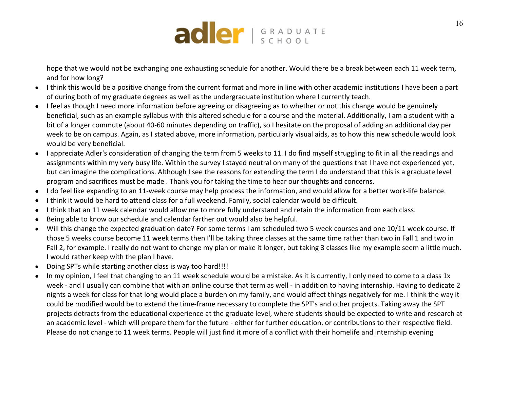

hope that we would not be exchanging one exhausting schedule for another. Would there be a break between each 11 week term, and for how long?

- I think this would be a positive change from the current format and more in line with other academic institutions I have been a part of during both of my graduate degrees as well as the undergraduate institution where I currently teach.
- I feel as though I need more information before agreeing or disagreeing as to whether or not this change would be genuinely beneficial, such as an example syllabus with this altered schedule for a course and the material. Additionally, I am a student with a bit of a longer commute (about 40-60 minutes depending on traffic), so I hesitate on the proposal of adding an additional day per week to be on campus. Again, as I stated above, more information, particularly visual aids, as to how this new schedule would look would be very beneficial.
- I appreciate Adler's consideration of changing the term from 5 weeks to 11. I do find myself struggling to fit in all the readings and assignments within my very busy life. Within the survey I stayed neutral on many of the questions that I have not experienced yet, but can imagine the complications. Although I see the reasons for extending the term I do understand that this is a graduate level program and sacrifices must be made . Thank you for taking the time to hear our thoughts and concerns.
- I do feel like expanding to an 11-week course may help process the information, and would allow for a better work-life balance.
- I think it would be hard to attend class for a full weekend. Family, social calendar would be difficult.
- I think that an 11 week calendar would allow me to more fully understand and retain the information from each class.
- Being able to know our schedule and calendar farther out would also be helpful.
- Will this change the expected graduation date? For some terms I am scheduled two 5 week courses and one 10/11 week course. If those 5 weeks course become 11 week terms then I'll be taking three classes at the same time rather than two in Fall 1 and two in Fall 2, for example. I really do not want to change my plan or make it longer, but taking 3 classes like my example seem a little much. I would rather keep with the plan I have.
- Doing SPTs while starting another class is way too hard!!!!
- In my opinion, I feel that changing to an 11 week schedule would be a mistake. As it is currently, I only need to come to a class 1x week - and I usually can combine that with an online course that term as well - in addition to having internship. Having to dedicate 2 nights a week for class for that long would place a burden on my family, and would affect things negatively for me. I think the way it could be modified would be to extend the time-frame necessary to complete the SPT's and other projects. Taking away the SPT projects detracts from the educational experience at the graduate level, where students should be expected to write and research at an academic level - which will prepare them for the future - either for further education, or contributions to their respective field. Please do not change to 11 week terms. People will just find it more of a conflict with their homelife and internship evening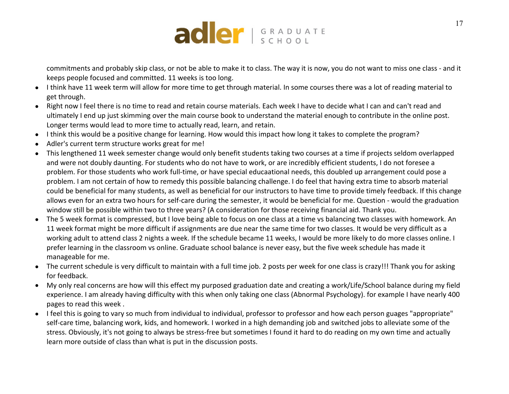

commitments and probably skip class, or not be able to make it to class. The way it is now, you do not want to miss one class - and it keeps people focused and committed. 11 weeks is too long.

- I think have 11 week term will allow for more time to get through material. In some courses there was a lot of reading material to get through.
- Right now I feel there is no time to read and retain course materials. Each week I have to decide what I can and can't read and ultimately I end up just skimming over the main course book to understand the material enough to contribute in the online post. Longer terms would lead to more time to actually read, learn, and retain.
- I think this would be a positive change for learning. How would this impact how long it takes to complete the program?
- Adler's current term structure works great for me!
- This lengthened 11 week semester change would only benefit students taking two courses at a time if projects seldom overlapped and were not doubly daunting. For students who do not have to work, or are incredibly efficient students, I do not foresee a problem. For those students who work full-time, or have special educaational needs, this doubled up arrangement could pose a problem. I am not certain of how to remedy this possible balancing challenge. I do feel that having extra time to absorb material could be beneficial for many students, as well as beneficial for our instructors to have time to provide timely feedback. If this change allows even for an extra two hours for self-care during the semester, it would be beneficial for me. Question - would the graduation window still be possible within two to three years? (A consideration for those receiving financial aid. Thank you.
- The 5 week format is compressed, but I love being able to focus on one class at a time vs balancing two classes with homework. An 11 week format might be more difficult if assignments are due near the same time for two classes. It would be very difficult as a working adult to attend class 2 nights a week. If the schedule became 11 weeks, I would be more likely to do more classes online. I prefer learning in the classroom vs online. Graduate school balance is never easy, but the five week schedule has made it manageable for me.
- The current schedule is very difficult to maintain with a full time job. 2 posts per week for one class is crazy!!! Thank you for asking for feedback.
- My only real concerns are how will this effect my purposed graduation date and creating a work/Life/School balance during my field experience. I am already having difficulty with this when only taking one class (Abnormal Psychology). for example I have nearly 400 pages to read this week .
- I feel this is going to vary so much from individual to individual, professor to professor and how each person guages "appropriate" self-care time, balancing work, kids, and homework. I worked in a high demanding job and switched jobs to alleviate some of the stress. Obviously, it's not going to always be stress-free but sometimes I found it hard to do reading on my own time and actually learn more outside of class than what is put in the discussion posts.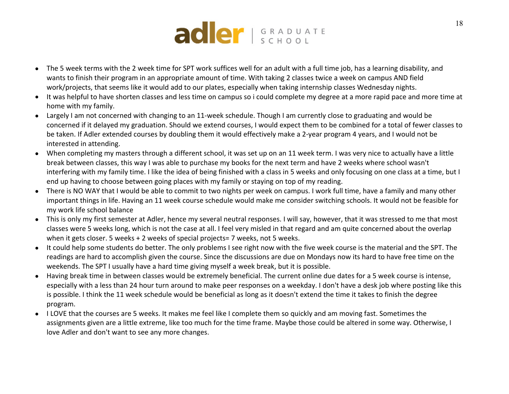

- The 5 week terms with the 2 week time for SPT work suffices well for an adult with a full time job, has a learning disability, and wants to finish their program in an appropriate amount of time. With taking 2 classes twice a week on campus AND field work/projects, that seems like it would add to our plates, especially when taking internship classes Wednesday nights.
- It was helpful to have shorten classes and less time on campus so i could complete my degree at a more rapid pace and more time at home with my family.
- Largely I am not concerned with changing to an 11-week schedule. Though I am currently close to graduating and would be concerned if it delayed my graduation. Should we extend courses, I would expect them to be combined for a total of fewer classes to be taken. If Adler extended courses by doubling them it would effectively make a 2-year program 4 years, and I would not be interested in attending.
- When completing my masters through a different school, it was set up on an 11 week term. I was very nice to actually have a little break between classes, this way I was able to purchase my books for the next term and have 2 weeks where school wasn't interfering with my family time. I like the idea of being finished with a class in 5 weeks and only focusing on one class at a time, but I end up having to choose between going places with my family or staying on top of my reading.
- There is NO WAY that I would be able to commit to two nights per week on campus. I work full time, have a family and many other important things in life. Having an 11 week course schedule would make me consider switching schools. It would not be feasible for my work life school balance
- This is only my first semester at Adler, hence my several neutral responses. I will say, however, that it was stressed to me that most classes were 5 weeks long, which is not the case at all. I feel very misled in that regard and am quite concerned about the overlap when it gets closer. 5 weeks + 2 weeks of special projects= 7 weeks, not 5 weeks.
- It could help some students do better. The only problems I see right now with the five week course is the material and the SPT. The readings are hard to accomplish given the course. Since the discussions are due on Mondays now its hard to have free time on the weekends. The SPT I usually have a hard time giving myself a week break, but it is possible.
- Having break time in between classes would be extremely beneficial. The current online due dates for a 5 week course is intense, especially with a less than 24 hour turn around to make peer responses on a weekday. I don't have a desk job where posting like this is possible. I think the 11 week schedule would be beneficial as long as it doesn't extend the time it takes to finish the degree program.
- I LOVE that the courses are 5 weeks. It makes me feel like I complete them so quickly and am moving fast. Sometimes the assignments given are a little extreme, like too much for the time frame. Maybe those could be altered in some way. Otherwise, I love Adler and don't want to see any more changes.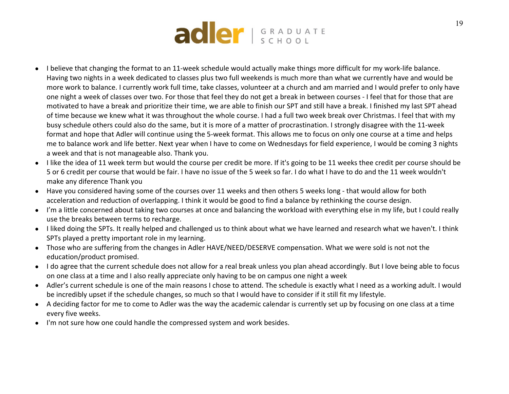

- I believe that changing the format to an 11-week schedule would actually make things more difficult for my work-life balance. Having two nights in a week dedicated to classes plus two full weekends is much more than what we currently have and would be more work to balance. I currently work full time, take classes, volunteer at a church and am married and I would prefer to only have one night a week of classes over two. For those that feel they do not get a break in between courses - I feel that for those that are motivated to have a break and prioritize their time, we are able to finish our SPT and still have a break. I finished my last SPT ahead of time because we knew what it was throughout the whole course. I had a full two week break over Christmas. I feel that with my busy schedule others could also do the same, but it is more of a matter of procrastination. I strongly disagree with the 11-week format and hope that Adler will continue using the 5-week format. This allows me to focus on only one course at a time and helps me to balance work and life better. Next year when I have to come on Wednesdays for field experience, I would be coming 3 nights a week and that is not manageable also. Thank you.
- I like the idea of 11 week term but would the course per credit be more. If it's going to be 11 weeks thee credit per course should be 5 or 6 credit per course that would be fair. I have no issue of the 5 week so far. I do what I have to do and the 11 week wouldn't make any diference Thank you
- Have you considered having some of the courses over 11 weeks and then others 5 weeks long that would allow for both acceleration and reduction of overlapping. I think it would be good to find a balance by rethinking the course design.
- I'm a little concerned about taking two courses at once and balancing the workload with everything else in my life, but I could really use the breaks between terms to recharge.
- I liked doing the SPTs. It really helped and challenged us to think about what we have learned and research what we haven't. I think SPTs played a pretty important role in my learning.
- Those who are suffering from the changes in Adler HAVE/NEED/DESERVE compensation. What we were sold is not not the education/product promised.
- I do agree that the current schedule does not allow for a real break unless you plan ahead accordingly. But I love being able to focus on one class at a time and I also really appreciate only having to be on campus one night a week
- Adler's current schedule is one of the main reasons I chose to attend. The schedule is exactly what I need as a working adult. I would be incredibly upset if the schedule changes, so much so that I would have to consider if it still fit my lifestyle.
- A deciding factor for me to come to Adler was the way the academic calendar is currently set up by focusing on one class at a time every five weeks.
- I'm not sure how one could handle the compressed system and work besides.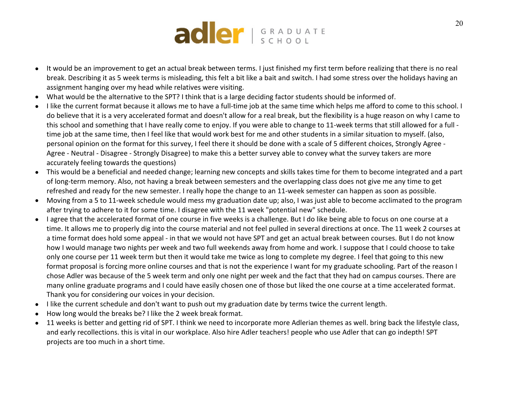

- It would be an improvement to get an actual break between terms. I just finished my first term before realizing that there is no real break. Describing it as 5 week terms is misleading, this felt a bit like a bait and switch. I had some stress over the holidays having an assignment hanging over my head while relatives were visiting.
- What would be the alternative to the SPT? I think that is a large deciding factor students should be informed of.
- I like the current format because it allows me to have a full-time job at the same time which helps me afford to come to this school. I do believe that it is a very accelerated format and doesn't allow for a real break, but the flexibility is a huge reason on why I came to this school and something that I have really come to enjoy. If you were able to change to 11-week terms that still allowed for a full time job at the same time, then I feel like that would work best for me and other students in a similar situation to myself. (also, personal opinion on the format for this survey, I feel there it should be done with a scale of 5 different choices, Strongly Agree - Agree - Neutral - Disagree - Strongly Disagree) to make this a better survey able to convey what the survey takers are more accurately feeling towards the questions)
- This would be a beneficial and needed change; learning new concepts and skills takes time for them to become integrated and a part of long-term memory. Also, not having a break between semesters and the overlapping class does not give me any time to get refreshed and ready for the new semester. I really hope the change to an 11-week semester can happen as soon as possible.
- Moving from a 5 to 11-week schedule would mess my graduation date up; also, I was just able to become acclimated to the program after trying to adhere to it for some time. I disagree with the 11 week "potential new" schedule.
- I agree that the accelerated format of one course in five weeks is a challenge. But I do like being able to focus on one course at a time. It allows me to properly dig into the course material and not feel pulled in several directions at once. The 11 week 2 courses at a time format does hold some appeal - in that we would not have SPT and get an actual break between courses. But I do not know how I would manage two nights per week and two full weekends away from home and work. I suppose that I could choose to take only one course per 11 week term but then it would take me twice as long to complete my degree. I feel that going to this new format proposal is forcing more online courses and that is not the experience I want for my graduate schooling. Part of the reason I chose Adler was because of the 5 week term and only one night per week and the fact that they had on campus courses. There are many online graduate programs and I could have easily chosen one of those but liked the one course at a time accelerated format. Thank you for considering our voices in your decision.
- I like the current schedule and don't want to push out my graduation date by terms twice the current length.
- How long would the breaks be? I like the 2 week break format.
- 11 weeks is better and getting rid of SPT. I think we need to incorporate more Adlerian themes as well. bring back the lifestyle class, and early recollections. this is vital in our workplace. Also hire Adler teachers! people who use Adler that can go indepth! SPT projects are too much in a short time.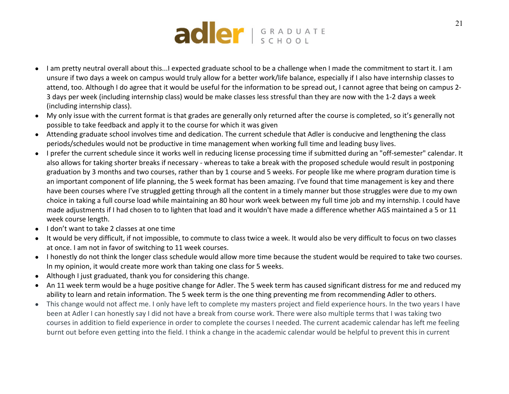

- I am pretty neutral overall about this...I expected graduate school to be a challenge when I made the commitment to start it. I am unsure if two days a week on campus would truly allow for a better work/life balance, especially if I also have internship classes to attend, too. Although I do agree that it would be useful for the information to be spread out, I cannot agree that being on campus 2- 3 days per week (including internship class) would be make classes less stressful than they are now with the 1-2 days a week (including internship class).
- My only issue with the current format is that grades are generally only returned after the course is completed, so it's generally not possible to take feedback and apply it to the course for which it was given
- Attending graduate school involves time and dedication. The current schedule that Adler is conducive and lengthening the class periods/schedules would not be productive in time management when working full time and leading busy lives.
- I prefer the current schedule since it works well in reducing license processing time if submitted during an "off-semester" calendar. It also allows for taking shorter breaks if necessary - whereas to take a break with the proposed schedule would result in postponing graduation by 3 months and two courses, rather than by 1 course and 5 weeks. For people like me where program duration time is an important component of life planning, the 5 week format has been amazing. I've found that time management is key and there have been courses where I've struggled getting through all the content in a timely manner but those struggles were due to my own choice in taking a full course load while maintaining an 80 hour work week between my full time job and my internship. I could have made adjustments if I had chosen to to lighten that load and it wouldn't have made a difference whether AGS maintained a 5 or 11 week course length.
- I don't want to take 2 classes at one time
- It would be very difficult, if not impossible, to commute to class twice a week. It would also be very difficult to focus on two classes at once. I am not in favor of switching to 11 week courses.
- I honestly do not think the longer class schedule would allow more time because the student would be required to take two courses. In my opinion, it would create more work than taking one class for 5 weeks.
- Although I just graduated, thank you for considering this change.
- An 11 week term would be a huge positive change for Adler. The 5 week term has caused significant distress for me and reduced my ability to learn and retain information. The 5 week term is the one thing preventing me from recommending Adler to others.
- This change would not affect me. I only have left to complete my masters project and field experience hours. In the two years I have been at Adler I can honestly say I did not have a break from course work. There were also multiple terms that I was taking two courses in addition to field experience in order to complete the courses I needed. The current academic calendar has left me feeling burnt out before even getting into the field. I think a change in the academic calendar would be helpful to prevent this in current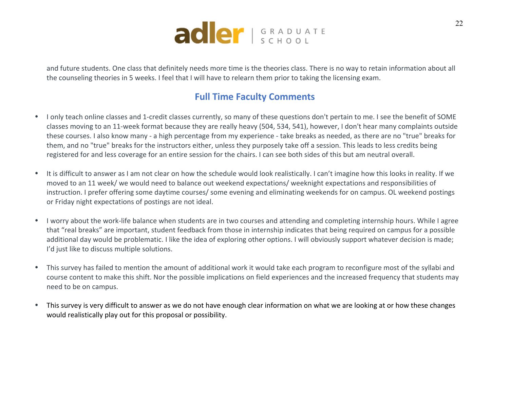

and future students. One class that definitely needs more time is the theories class. There is no way to retain information about all the counseling theories in 5 weeks. I feel that I will have to relearn them prior to taking the licensing exam.

# **Full Time Faculty Comments**

- I only teach online classes and 1-credit classes currently, so many of these questions don't pertain to me. I see the benefit of SOME classes moving to an 11-week format because they are really heavy (504, 534, 541), however, I don't hear many complaints outside these courses. I also know many - a high percentage from my experience - take breaks as needed, as there are no "true" breaks for them, and no "true" breaks for the instructors either, unless they purposely take off a session. This leads to less credits being registered for and less coverage for an entire session for the chairs. I can see both sides of this but am neutral overall.
- It is difficult to answer as I am not clear on how the schedule would look realistically. I can't imagine how this looks in reality. If we moved to an 11 week/ we would need to balance out weekend expectations/ weeknight expectations and responsibilities of instruction. I prefer offering some daytime courses/ some evening and eliminating weekends for on campus. OL weekend postings or Friday night expectations of postings are not ideal.
- I worry about the work-life balance when students are in two courses and attending and completing internship hours. While I agree that "real breaks" are important, student feedback from those in internship indicates that being required on campus for a possible additional day would be problematic. I like the idea of exploring other options. I will obviously support whatever decision is made; I'd just like to discuss multiple solutions.
- This survey has failed to mention the amount of additional work it would take each program to reconfigure most of the syllabi and course content to make this shift. Nor the possible implications on field experiences and the increased frequency that students may need to be on campus.
- This survey is very difficult to answer as we do not have enough clear information on what we are looking at or how these changes would realistically play out for this proposal or possibility.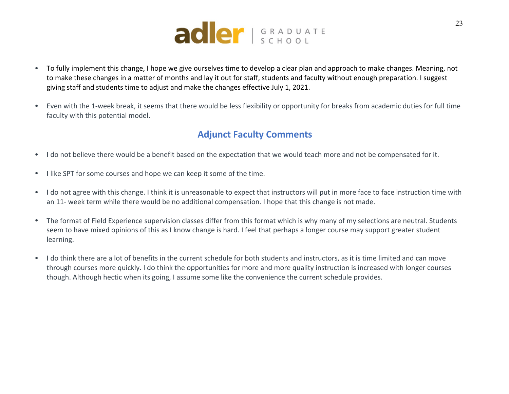

- To fully implement this change, I hope we give ourselves time to develop a clear plan and approach to make changes. Meaning, not to make these changes in a matter of months and lay it out for staff, students and faculty without enough preparation. I suggest giving staff and students time to adjust and make the changes effective July 1, 2021.
- Even with the 1-week break, it seems that there would be less flexibility or opportunity for breaks from academic duties for full time faculty with this potential model.

### **Adjunct Faculty Comments**

- I do not believe there would be a benefit based on the expectation that we would teach more and not be compensated for it.
- I like SPT for some courses and hope we can keep it some of the time.
- I do not agree with this change. I think it is unreasonable to expect that instructors will put in more face to face instruction time with an 11- week term while there would be no additional compensation. I hope that this change is not made.
- The format of Field Experience supervision classes differ from this format which is why many of my selections are neutral. Students seem to have mixed opinions of this as I know change is hard. I feel that perhaps a longer course may support greater student learning.
- I do think there are a lot of benefits in the current schedule for both students and instructors, as it is time limited and can move through courses more quickly. I do think the opportunities for more and more quality instruction is increased with longer courses though. Although hectic when its going, I assume some like the convenience the current schedule provides.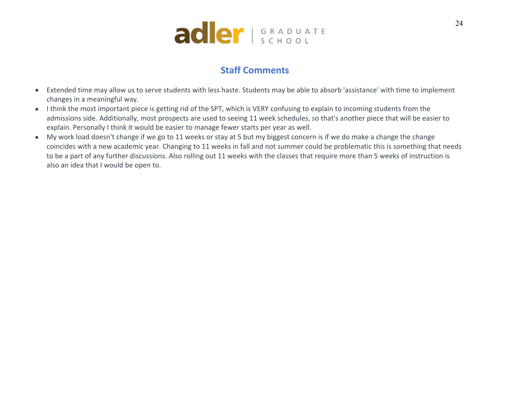

# **Staff Comments**

- Extended time may allow us to serve students with less haste. Students may be able to absorb 'assistance' with time to implement changes in a meaningful way.
- I think the most important piece is getting rid of the SPT, which is VERY confusing to explain to incoming students from the admissions side. Additionally, most prospects are used to seeing 11 week schedules, so that's another piece that will be easier to explain. Personally I think it would be easier to manage fewer starts per year as well.
- My work load doesn't change if we go to 11 weeks or stay at 5 but my biggest concern is if we do make a change the change coincides with a new academic year. Changing to 11 weeks in fall and not summer could be problematic this is something that needs to be a part of any further discussions. Also rolling out 11 weeks with the classes that require more than 5 weeks of instruction is also an idea that I would be open to.